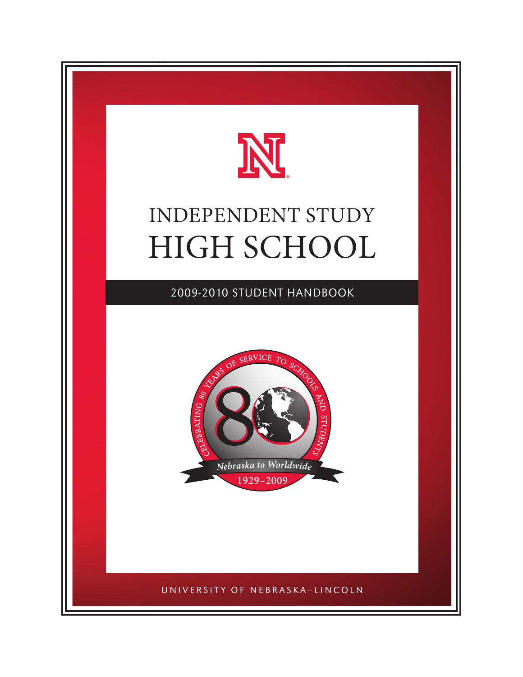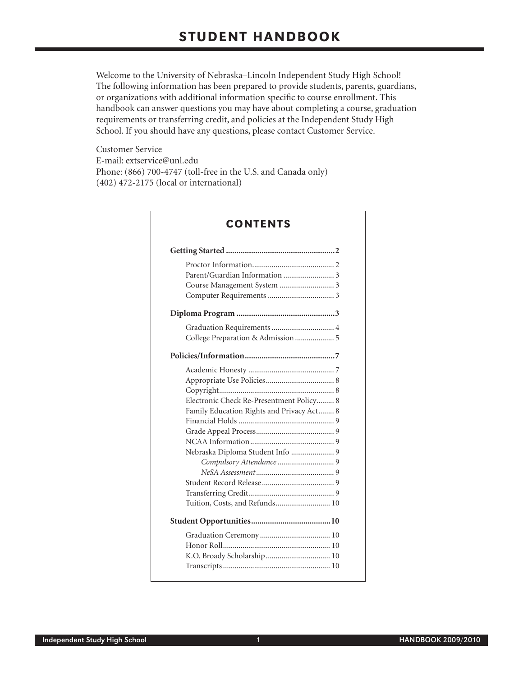Welcome to the University of Nebraska–Lincoln Independent Study High School! The following information has been prepared to provide students, parents, guardians, or organizations with additional information specific to course enrollment. This handbook can answer questions you may have about completing a course, graduation requirements or transferring credit, and policies at the Independent Study High School. If you should have any questions, please contact Customer Service.

Customer Service E-mail: extservice@unl.edu Phone: (866) 700-4747 (toll-free in the U.S. and Canada only) (402) 472-2175 (local or international)

| Parent/Guardian Information  3<br>Graduation Requirements  4<br>College Preparation & Admission  5<br>Electronic Check Re-Presentment Policy 8<br>Family Education Rights and Privacy Act 8<br>Nebraska Diploma Student Info  9<br>Tuition, Costs, and Refunds 10 |  |
|-------------------------------------------------------------------------------------------------------------------------------------------------------------------------------------------------------------------------------------------------------------------|--|
|                                                                                                                                                                                                                                                                   |  |
|                                                                                                                                                                                                                                                                   |  |
|                                                                                                                                                                                                                                                                   |  |
|                                                                                                                                                                                                                                                                   |  |
|                                                                                                                                                                                                                                                                   |  |
|                                                                                                                                                                                                                                                                   |  |
|                                                                                                                                                                                                                                                                   |  |
|                                                                                                                                                                                                                                                                   |  |
|                                                                                                                                                                                                                                                                   |  |
|                                                                                                                                                                                                                                                                   |  |
|                                                                                                                                                                                                                                                                   |  |
|                                                                                                                                                                                                                                                                   |  |
|                                                                                                                                                                                                                                                                   |  |
|                                                                                                                                                                                                                                                                   |  |
|                                                                                                                                                                                                                                                                   |  |
|                                                                                                                                                                                                                                                                   |  |
|                                                                                                                                                                                                                                                                   |  |
|                                                                                                                                                                                                                                                                   |  |
|                                                                                                                                                                                                                                                                   |  |
|                                                                                                                                                                                                                                                                   |  |
|                                                                                                                                                                                                                                                                   |  |
|                                                                                                                                                                                                                                                                   |  |
|                                                                                                                                                                                                                                                                   |  |
|                                                                                                                                                                                                                                                                   |  |
|                                                                                                                                                                                                                                                                   |  |
|                                                                                                                                                                                                                                                                   |  |

# $\sum_{n=1}^{\infty}$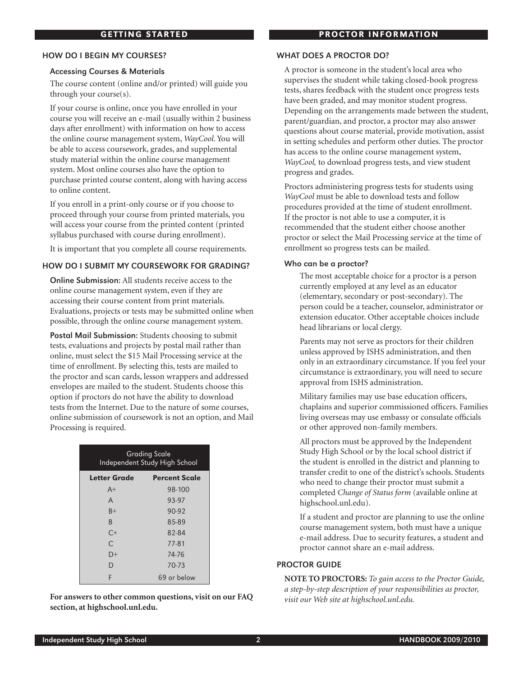#### How do I begin my courses?

#### Accessing Courses & Materials

The course content (online and/or printed) will guide you through your course(s).

If your course is online, once you have enrolled in your course you will receive an e-mail (usually within 2 business days after enrollment) with information on how to access the online course management system, *WayCool*. You will be able to access coursework, grades, and supplemental study material within the online course management system. Most online courses also have the option to purchase printed course content, along with having access to online content.

If you enroll in a print-only course or if you choose to proceed through your course from printed materials, you will access your course from the printed content (printed syllabus purchased with course during enrollment).

It is important that you complete all course requirements.

## How do I submit my coursework for grading?

Online Submission: All students receive access to the online course management system, even if they are accessing their course content from print materials. Evaluations, projects or tests may be submitted online when possible, through the online course management system.

Postal Mail Submission: Students choosing to submit tests, evaluations and projects by postal mail rather than online, must select the \$15 Mail Processing service at the time of enrollment. By selecting this, tests are mailed to the proctor and scan cards, lesson wrappers and addressed envelopes are mailed to the student. Students choose this option if proctors do not have the ability to download tests from the Internet. Due to the nature of some courses, online submission of coursework is not an option, and Mail Processing is required.

| Grading Scale<br>Independent Study High School |                      |  |  |  |
|------------------------------------------------|----------------------|--|--|--|
| Letter Grade                                   | <b>Percent Scale</b> |  |  |  |
| $A+$                                           | 98-100               |  |  |  |
| A                                              | 93-97                |  |  |  |
| $B+$                                           | $90-92$              |  |  |  |
| <sub>R</sub>                                   | 85-89                |  |  |  |
| $C_{\pm}$                                      | 82-84                |  |  |  |
| $\subset$                                      | 77-81                |  |  |  |
| D+                                             | 74-76                |  |  |  |
| D                                              | 70-73                |  |  |  |
| F                                              | 69 or below          |  |  |  |

**For answers to other common questions, visit on our FAQ section, at highschool.unl.edu.** 

# PROCTOR INFORMATION

## WHAT DOES A PROCTOR DO?

A proctor is someone in the student's local area who supervises the student while taking closed-book progress tests, shares feedback with the student once progress tests have been graded, and may monitor student progress. Depending on the arrangements made between the student, parent/guardian, and proctor, a proctor may also answer questions about course material, provide motivation, assist in setting schedules and perform other duties. The proctor has access to the online course management system, *WayCool,* to download progress tests, and view student progress and grades.

Proctors administering progress tests for students using *WayCool* must be able to download tests and follow procedures provided at the time of student enrollment. If the proctor is not able to use a computer, it is recommended that the student either choose another proctor or select the Mail Processing service at the time of enrollment so progress tests can be mailed.

#### Who can be a proctor?

The most acceptable choice for a proctor is a person currently employed at any level as an educator (elementary, secondary or post-secondary). The person could be a teacher, counselor, administrator or extension educator. Other acceptable choices include head librarians or local clergy.

Parents may not serve as proctors for their children unless approved by ISHS administration, and then only in an extraordinary circumstance. If you feel your circumstance is extraordinary, you will need to secure approval from ISHS administration.

Military families may use base education officers, chaplains and superior commissioned officers. Families living overseas may use embassy or consulate officials or other approved non-family members.

All proctors must be approved by the Independent Study High School or by the local school district if the student is enrolled in the district and planning to transfer credit to one of the district's schools. Students who need to change their proctor must submit a completed *Change of Status form* (available online at highschool.unl.edu).

If a student and proctor are planning to use the online course management system, both must have a unique e-mail address. Due to security features, a student and proctor cannot share an e-mail address.

# Proctor Guide

**Note to Proctors:** *To gain access to the Proctor Guide, a step-by-step description of your responsibilities as proctor, visit our Web site at highschool.unl.edu.*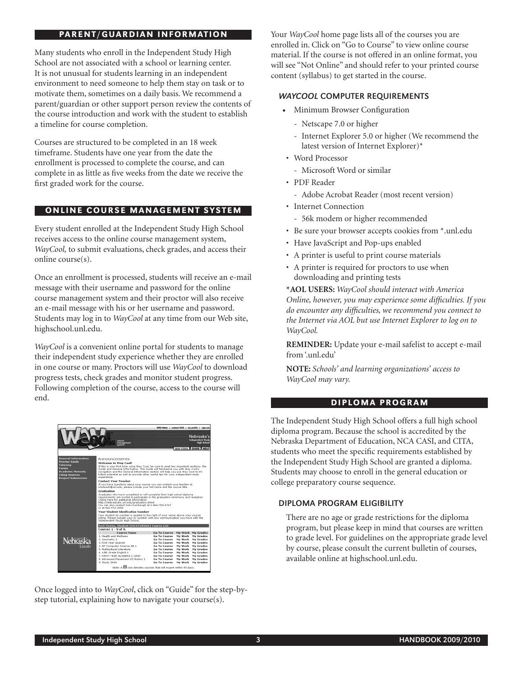# PARENT/GUARDIAN INFORMATION

Many students who enroll in the Independent Study High School are not associated with a school or learning center. It is not unusual for students learning in an independent environment to need someone to help them stay on task or to motivate them, sometimes on a daily basis. We recommend a parent/guardian or other support person review the contents of the course introduction and work with the student to establish a timeline for course completion.

Courses are structured to be completed in an 18 week timeframe. Students have one year from the date the enrollment is processed to complete the course, and can complete in as little as five weeks from the date we receive the first graded work for the course.

# ONLINE COURSE MANAGEMENT SYSTEM

Every student enrolled at the Independent Study High School receives access to the online course management system, *WayCool,* to submit evaluations, check grades, and access their online course(s).

Once an enrollment is processed, students will receive an e-mail message with their username and password for the online course management system and their proctor will also receive an e-mail message with his or her username and password. Students may log in to *WayCool* at any time from our Web site, highschool.unl.edu.

*WayCool* is a convenient online portal for students to manage their independent study experience whether they are enrolled in one course or many. Proctors will use *WayCool* to download progress tests, check grades and monitor student progress. Following completion of the course, access to the course will end.

|                                                                                                                                                                                                                                                                                                                                     | course<br>monagement<br>system                                                                                                                                                                                                                                                                                                                                   |                                            |                    | ISHS Home   contact ISHS   my profile   sign out<br>Nebraska's<br><b>Independent Study</b><br><b>High School</b><br>WAY COOL GUIDE HELP |  |
|-------------------------------------------------------------------------------------------------------------------------------------------------------------------------------------------------------------------------------------------------------------------------------------------------------------------------------------|------------------------------------------------------------------------------------------------------------------------------------------------------------------------------------------------------------------------------------------------------------------------------------------------------------------------------------------------------------------|--------------------------------------------|--------------------|-----------------------------------------------------------------------------------------------------------------------------------------|--|
| <b>General Information</b>                                                                                                                                                                                                                                                                                                          | Announcements                                                                                                                                                                                                                                                                                                                                                    |                                            |                    |                                                                                                                                         |  |
| <b>Proctor Guide</b>                                                                                                                                                                                                                                                                                                                | Welcome to Way Cool!                                                                                                                                                                                                                                                                                                                                             |                                            |                    |                                                                                                                                         |  |
| <b>Tutoring</b><br><b>Forms</b><br><b>Academic Honesty</b><br><b>Citing Sources</b><br><b>Project Submission</b>                                                                                                                                                                                                                    | If this is your first time using Way Cool, be sure to read two important sections: the<br>Guide and General Information. The Guide will familiarize you with Way Cool's<br>navigation and the General Information section will help you use Way Cool to it's<br>fullest potential as well as provide other useful tips for your independent study<br>experience. |                                            |                    |                                                                                                                                         |  |
|                                                                                                                                                                                                                                                                                                                                     | <b>Contact Your Teacher</b>                                                                                                                                                                                                                                                                                                                                      |                                            |                    |                                                                                                                                         |  |
|                                                                                                                                                                                                                                                                                                                                     | If you have questions about your course you can contact your teacher at<br>ishsteach@unl.edu, please include your full name and the course title.                                                                                                                                                                                                                |                                            |                    |                                                                                                                                         |  |
| Graduation                                                                                                                                                                                                                                                                                                                          |                                                                                                                                                                                                                                                                                                                                                                  |                                            |                    |                                                                                                                                         |  |
| Graduates who have completed or will complete their high school diploma<br>requirements are invited to participate in the graduation ceremony and reception.<br>Check here for additional information:<br>http://nebraskahs.unl.edu/graduation.shtml<br>You can also contact Vicki Rumbaugh at 1-866-700-4747<br>or at 402-472-2058 |                                                                                                                                                                                                                                                                                                                                                                  |                                            |                    |                                                                                                                                         |  |
|                                                                                                                                                                                                                                                                                                                                     | Your Student Idenfication Number<br>Your student ID number is located to the right of your name above your course<br>listing. Please include your ID number with any communication you have with the<br>Independent Study High School,                                                                                                                           |                                            |                    |                                                                                                                                         |  |
|                                                                                                                                                                                                                                                                                                                                     | Test-Seven, Student (H54218566) Course List<br>Courses 1 - 9 of 9                                                                                                                                                                                                                                                                                                |                                            |                    |                                                                                                                                         |  |
|                                                                                                                                                                                                                                                                                                                                     | <b>Course Name</b>                                                                                                                                                                                                                                                                                                                                               | Go To Course                               |                    | My Work My Grades                                                                                                                       |  |
|                                                                                                                                                                                                                                                                                                                                     | 1. Health and Wellness                                                                                                                                                                                                                                                                                                                                           | Go To Course                               | My Work            | My Grades                                                                                                                               |  |
| Nebraska                                                                                                                                                                                                                                                                                                                            | 2. Geometry 1                                                                                                                                                                                                                                                                                                                                                    | <b>Go To Course</b>                        | My Work            | My Grades                                                                                                                               |  |
|                                                                                                                                                                                                                                                                                                                                     | 3. First Year Spanish                                                                                                                                                                                                                                                                                                                                            | <b>Go To Course</b>                        | My Work            | <b>My Grades</b>                                                                                                                        |  |
| Lincoln                                                                                                                                                                                                                                                                                                                             | 4. AP Computer Science AB 1                                                                                                                                                                                                                                                                                                                                      | Go To Course                               | My Work            | My Grades                                                                                                                               |  |
|                                                                                                                                                                                                                                                                                                                                     | 5. Multicultural Literature                                                                                                                                                                                                                                                                                                                                      | Go To Course                               | My Work            | My Grades                                                                                                                               |  |
|                                                                                                                                                                                                                                                                                                                                     | 6.10th Grade English 1<br>7. FIRST YEAR ALGEBRA 1 (058)                                                                                                                                                                                                                                                                                                          | <b>Go To Course</b><br><b>Go To Course</b> | My Work<br>My Work | My Grades<br><b>My Grades</b>                                                                                                           |  |
|                                                                                                                                                                                                                                                                                                                                     | 8. Advanced Placement US History 1                                                                                                                                                                                                                                                                                                                               | Go To Course                               | My Work            | My Grades                                                                                                                               |  |
|                                                                                                                                                                                                                                                                                                                                     | 9. Study Skills                                                                                                                                                                                                                                                                                                                                                  | Go To Course                               | My Work            | My Grades                                                                                                                               |  |
| Note: A <b>X</b> icon denotes courses that will expire within 90 days.                                                                                                                                                                                                                                                              |                                                                                                                                                                                                                                                                                                                                                                  |                                            |                    |                                                                                                                                         |  |

Once logged into to *WayCool*, click on "Guide" for the step-bystep tutorial, explaining how to navigate your course(s).

Your *WayCool* home page lists all of the courses you are enrolled in. Click on "Go to Course" to view online course material. If the course is not offered in an online format, you will see "Not Online" and should refer to your printed course content (syllabus) to get started in the course.

# WayCool Computer Requirements

- • Minimum Browser Configuration
	- Netscape 7.0 or higher
	- Internet Explorer 5.0 or higher (We recommend the latest version of Internet Explorer)\*
- Word Processor
	- Microsoft Word or similar
- PDF Reader
	- Adobe Acrobat Reader (most recent version)
- Internet Connection
	- 56k modem or higher recommended
- Be sure your browser accepts cookies from \*.unl.edu
- Have JavaScript and Pop-ups enabled
- A printer is useful to print course materials
- A printer is required for proctors to use when downloading and printing tests

**\*AOL users:** *WayCool should interact with America Online, however, you may experience some difficulties. If you do encounter any difficulties, we recommend you connect to the Internet via AOL but use Internet Explorer to log on to WayCool.*

**REMINDER:** Update your e-mail safelist to accept e-mail from '.unl.edu'

**Note:** *Schools' and learning organizations' access to WayCool may vary.*

#### DIPLOMA PROGRAM

The Independent Study High School offers a full high school diploma program. Because the school is accredited by the Nebraska Department of Education, NCA CASI, and CITA, students who meet the specific requirements established by the Independent Study High School are granted a diploma. Students may choose to enroll in the general education or college preparatory course sequence.

# Diploma Program Eligibility

There are no age or grade restrictions for the diploma program, but please keep in mind that courses are written to grade level. For guidelines on the appropriate grade level by course, please consult the current bulletin of courses, available online at highschool.unl.edu.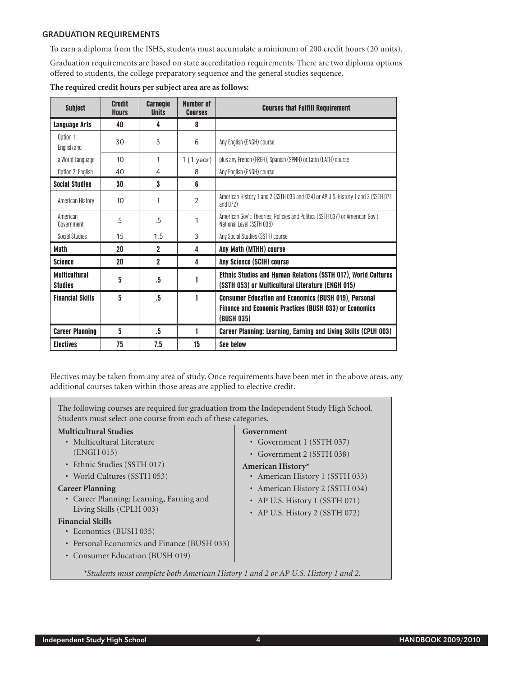## Graduation Requirements

To earn a diploma from the ISHS, students must accumulate a minimum of 200 credit hours (20 units).

Graduation requirements are based on state accreditation requirements. There are two diploma options offered to students, the college preparatory sequence and the general studies sequence.

| <b>Subject</b>                         | <b>Credit</b><br><b>Hours</b> | <b>Carnegie</b><br><b>Units</b> | <b>Number of</b><br><b>Courses</b> | <b>Courses that Fulfill Requirement</b>                                                                                                     |
|----------------------------------------|-------------------------------|---------------------------------|------------------------------------|---------------------------------------------------------------------------------------------------------------------------------------------|
| Language Arts                          | 40                            | 4                               | 8                                  |                                                                                                                                             |
| Option 1:<br>English and               | 30                            | 3                               | 6                                  | Any English (ENGH) course                                                                                                                   |
| a World Language                       | 10                            | 1                               | 1(1 year)                          | plus any French (FREH), Spanish (SPNH) or Latin (LATH) course                                                                               |
| Option 2: English                      | 40                            | 4                               | 8                                  | Any English (ENGH) course                                                                                                                   |
| <b>Social Studies</b>                  | 30                            | 3                               | 6                                  |                                                                                                                                             |
| American History                       | 10                            | 1                               | $\overline{2}$                     | American History 1 and 2 (SSTH 033 and 034) or AP U.S. History 1 and 2 (SSTH 071<br>and $(172)$                                             |
| American<br>Government                 | 5                             | .5                              | 1                                  | American Gov't: Theories, Policies and Politics (SSTH 037) or American Gov't:<br>National Level (SSTH 038)                                  |
| <b>Social Studies</b>                  | 15                            | 1.5                             | 3                                  | Any Social Studies (SSTH) course                                                                                                            |
| <b>Math</b>                            | 20                            | $\mathbf{2}$                    | 4                                  | Any Math (MTHH) course                                                                                                                      |
| <b>Science</b>                         | 20                            | $\overline{2}$                  | 4                                  | <b>Any Science (SCIH) course</b>                                                                                                            |
| <b>Multicultural</b><br><b>Studies</b> | 5                             | .5                              |                                    | Ethnic Studies and Human Relations (SSTH 017), World Cultures<br>(SSTH 053) or Multicultural Literature (ENGH 015)                          |
| <b>Financial Skills</b>                | 5                             | .5                              | 1                                  | <b>Consumer Education and Economics (BUSH 019), Personal</b><br><b>Finance and Economic Practices (BUSH 033) or Economics</b><br>(BUSH 035) |
| <b>Career Planning</b>                 | 5                             | .5                              | 1                                  | Career Planning: Learning, Earning and Living Skills (CPLH 003)                                                                             |
| <b>Electives</b>                       | 75                            | 7.5                             | 15                                 | <b>See below</b>                                                                                                                            |

**The required credit hours per subject area are as follows:**

Electives may be taken from any area of study. Once requirements have been met in the above areas, any additional courses taken within those areas are applied to elective credit.

The following courses are required for graduation from the Independent Study High School. Students must select one course from each of these categories.

## **Multicultural Studies**

- Multicultural Literature (ENGH 015)
- Ethnic Studies (SSTH 017)
- World Cultures (SSTH 053)

#### **Career Planning**

• Career Planning: Learning, Earning and Living Skills (CPLH 003)

#### **Financial Skills**

- Economics (BUSH 035)
- Personal Economics and Finance (BUSH 033)
- Consumer Education (BUSH 019)

## **Government**

- Government 1 (SSTH 037)
- Government 2 (SSTH 038)

# **American History\***

- American History 1 (SSTH 033)
- American History 2 (SSTH 034)
- AP U.S. History 1 (SSTH 071)
- AP U.S. History 2 (SSTH 072)

 *\*Students must complete both American History 1 and 2 or AP U.S. History 1 and 2.*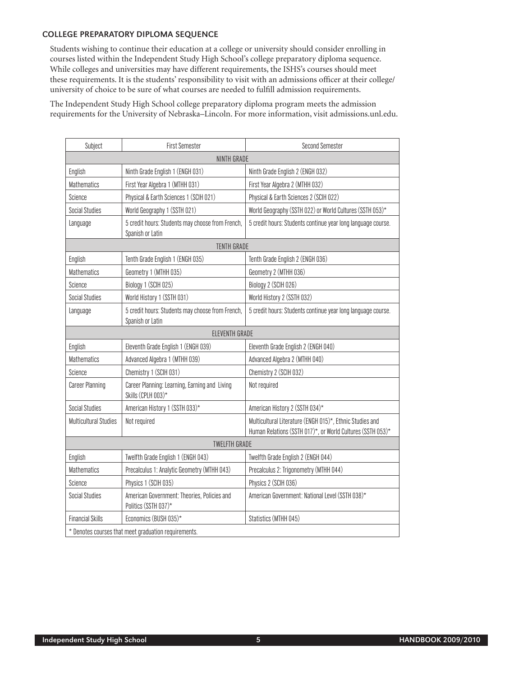## College Preparatory Diploma Sequence

Students wishing to continue their education at a college or university should consider enrolling in courses listed within the Independent Study High School's college preparatory diploma sequence. While colleges and universities may have different requirements, the ISHS's courses should meet these requirements. It is the students' responsibility to visit with an admissions officer at their college/ university of choice to be sure of what courses are needed to fulfill admission requirements.

The Independent Study High School college preparatory diploma program meets the admission requirements for the University of Nebraska–Lincoln. For more information, visit admissions.unl.edu.

| Subject                                              | <b>First Semester</b>                                                | <b>Second Semester</b>                                                                                                 |  |  |  |
|------------------------------------------------------|----------------------------------------------------------------------|------------------------------------------------------------------------------------------------------------------------|--|--|--|
| NINTH GRADE                                          |                                                                      |                                                                                                                        |  |  |  |
| English                                              | Ninth Grade English 1 (ENGH 031)                                     | Ninth Grade English 2 (ENGH 032)                                                                                       |  |  |  |
| <b>Mathematics</b>                                   | First Year Algebra 1 (MTHH 031)                                      | First Year Algebra 2 (MTHH 032)                                                                                        |  |  |  |
| Science                                              | Physical & Earth Sciences 1 (SCIH 021)                               | Physical & Earth Sciences 2 (SCIH 022)                                                                                 |  |  |  |
| <b>Social Studies</b>                                | World Geography 1 (SSTH 021)                                         | World Geography (SSTH 022) or World Cultures (SSTH 053)*                                                               |  |  |  |
| Language                                             | 5 credit hours: Students may choose from French,<br>Spanish or Latin | 5 credit hours: Students continue year long language course.                                                           |  |  |  |
|                                                      | <b>TENTH GRADE</b>                                                   |                                                                                                                        |  |  |  |
| English                                              | Tenth Grade English 1 (ENGH 035)                                     | Tenth Grade English 2 (ENGH 036)                                                                                       |  |  |  |
| <b>Mathematics</b>                                   | Geometry 1 (MTHH 035)                                                | Geometry 2 (MTHH 036)                                                                                                  |  |  |  |
| Science                                              | Biology 1 (SCIH 025)                                                 | Biology 2 (SCIH 026)                                                                                                   |  |  |  |
| <b>Social Studies</b>                                | World History 1 (SSTH 031)                                           | World History 2 (SSTH 032)                                                                                             |  |  |  |
| Language                                             | 5 credit hours: Students may choose from French,<br>Spanish or Latin | 5 credit hours: Students continue year long language course.                                                           |  |  |  |
|                                                      | ELEVENTH GRADE                                                       |                                                                                                                        |  |  |  |
| English                                              | Eleventh Grade English 1 (ENGH 039)                                  | Eleventh Grade English 2 (ENGH 040)                                                                                    |  |  |  |
| <b>Mathematics</b>                                   | Advanced Algebra 1 (MTHH 039)                                        | Advanced Algebra 2 (MTHH 040)                                                                                          |  |  |  |
| Science                                              | Chemistry 1 (SCIH 031)                                               | Chemistry 2 (SCIH 032)                                                                                                 |  |  |  |
| <b>Career Planning</b>                               | Career Planning: Learning, Earning and Living<br>Skills (CPLH 003)*  | Not required                                                                                                           |  |  |  |
| <b>Social Studies</b>                                | American History 1 (SSTH 033)*                                       | American History 2 (SSTH 034)*                                                                                         |  |  |  |
| <b>Multicultural Studies</b>                         | Not required                                                         | Multicultural Literature (ENGH 015)*, Ethnic Studies and<br>Human Relations (SSTH 017)*, or World Cultures (SSTH 053)* |  |  |  |
| <b>TWELFTH GRADE</b>                                 |                                                                      |                                                                                                                        |  |  |  |
| English                                              | Twelfth Grade English 1 (ENGH 043)                                   | Twelfth Grade English 2 (ENGH 044)                                                                                     |  |  |  |
| <b>Mathematics</b>                                   | Precalculus 1: Analytic Geometry (MTHH 043)                          | Precalculus 2: Trigonometry (MTHH 044)                                                                                 |  |  |  |
| Science                                              | Physics 1 (SCIH 035)                                                 | Physics 2 (SCIH 036)                                                                                                   |  |  |  |
| <b>Social Studies</b>                                | American Government: Theories, Policies and<br>Politics (SSTH 037)*  | American Government: National Level (SSTH 038)*                                                                        |  |  |  |
| <b>Financial Skills</b>                              | Economics (BUSH 035)*                                                | Statistics (MTHH 045)                                                                                                  |  |  |  |
| * Denotes courses that meet graduation requirements. |                                                                      |                                                                                                                        |  |  |  |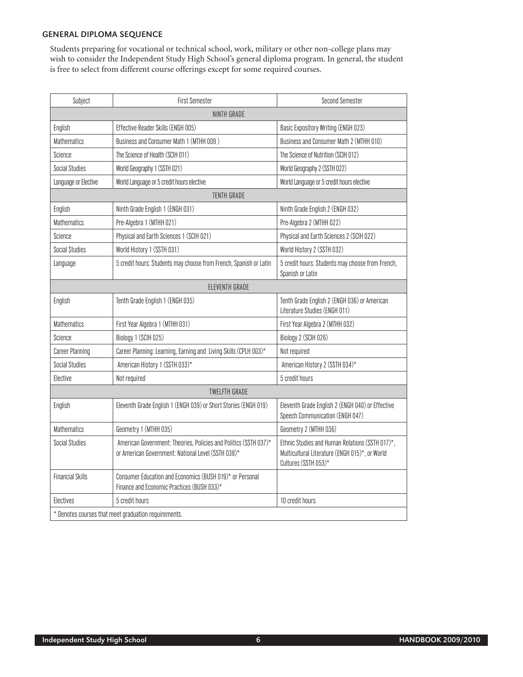# General Diploma Sequence

Students preparing for vocational or technical school, work, military or other non-college plans may wish to consider the Independent Study High School's general diploma program. In general, the student is free to select from different course offerings except for some required courses.

| Subject                 | <b>First Semester</b>                                                                                                  | <b>Second Semester</b>                                                                                                    |
|-------------------------|------------------------------------------------------------------------------------------------------------------------|---------------------------------------------------------------------------------------------------------------------------|
|                         | NINTH GRADE                                                                                                            |                                                                                                                           |
| English                 | Effective Reader Skills (ENGH 005)                                                                                     | Basic Expository Writing (ENGH 023)                                                                                       |
| <b>Mathematics</b>      | Business and Consumer Math 1 (MTHH 009)                                                                                | Business and Consumer Math 2 (MTHH 010)                                                                                   |
| Science                 | The Science of Health (SCIH 011)                                                                                       | The Science of Nutrition (SCIH 012)                                                                                       |
| <b>Social Studies</b>   | World Geography 1 (SSTH 021)                                                                                           | World Geography 2 (SSTH 022)                                                                                              |
| Language or Elective    | World Language or 5 credit hours elective                                                                              | World Language or 5 credit hours elective                                                                                 |
|                         | <b>TENTH GRADE</b>                                                                                                     |                                                                                                                           |
| English                 | Ninth Grade English 1 (ENGH 031)                                                                                       | Ninth Grade English 2 (ENGH 032)                                                                                          |
| <b>Mathematics</b>      | Pre-Algebra 1 (MTHH 021)                                                                                               | Pre-Algebra 2 (MTHH 022)                                                                                                  |
| Science                 | Physical and Earth Sciences 1 (SCIH 021)                                                                               | Physical and Earth Sciences 2 (SCIH 022)                                                                                  |
| <b>Social Studies</b>   | World History 1 (SSTH 031)                                                                                             | World History 2 (SSTH 032)                                                                                                |
| Language                | 5 credit hours: Students may choose from French, Spanish or Latin                                                      | 5 credit hours: Students may choose from French,<br>Spanish or Latin                                                      |
|                         | ELEVENTH GRADE                                                                                                         |                                                                                                                           |
| English                 | Tenth Grade English 1 (ENGH 035)                                                                                       | Tenth Grade English 2 (ENGH 036) or American<br>Literature Studies (ENGH 011)                                             |
| <b>Mathematics</b>      | First Year Algebra 1 (MTHH 031)                                                                                        | First Year Algebra 2 (MTHH 032)                                                                                           |
| Science                 | Biology 1 (SCIH 025)                                                                                                   | Biology 2 (SCIH 026)                                                                                                      |
| <b>Career Planning</b>  | Career Planning: Learning, Earning and Living Skills (CPLH 003)*                                                       | Not required                                                                                                              |
| <b>Social Studies</b>   | American History 1 (SSTH 033)*                                                                                         | American History 2 (SSTH 034)*                                                                                            |
| Elective                | Not required                                                                                                           | 5 credit hours                                                                                                            |
|                         | <b>TWELFTH GRADE</b>                                                                                                   |                                                                                                                           |
| English                 | Eleventh Grade English 1 (ENGH 039) or Short Stories (ENGH 019)                                                        | Eleventh Grade English 2 (ENGH 040) or Effective<br>Speech Communication (ENGH 047)                                       |
| <b>Mathematics</b>      | Geometry 1 (MTHH 035)                                                                                                  | Geometry 2 (MTHH 036)                                                                                                     |
| <b>Social Studies</b>   | American Government: Theories, Policies and Politics (SSTH 037)*<br>or American Government: National Level (SSTH 038)* | Ethnic Studies and Human Relations (SSTH 017)*,<br>Multicultural Literature (ENGH 015)*, or World<br>Cultures (SSTH 053)* |
| <b>Financial Skills</b> | Consumer Education and Economics (BUSH 019)* or Personal<br>Finance and Economic Practices (BUSH 033)*                 |                                                                                                                           |
| Electives               | 5 credit hours                                                                                                         | 10 credit hours                                                                                                           |
|                         | * Denotes courses that meet graduation requirements.                                                                   |                                                                                                                           |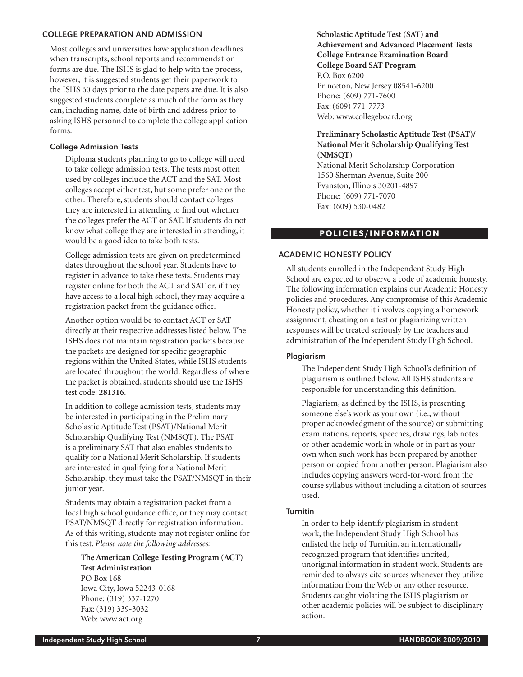## College Preparation and Admission

Most colleges and universities have application deadlines when transcripts, school reports and recommendation forms are due. The ISHS is glad to help with the process, however, it is suggested students get their paperwork to the ISHS 60 days prior to the date papers are due. It is also suggested students complete as much of the form as they can, including name, date of birth and address prior to asking ISHS personnel to complete the college application forms.

## College Admission Tests

Diploma students planning to go to college will need to take college admission tests. The tests most often used by colleges include the ACT and the SAT. Most colleges accept either test, but some prefer one or the other. Therefore, students should contact colleges they are interested in attending to find out whether the colleges prefer the ACT or SAT. If students do not know what college they are interested in attending, it would be a good idea to take both tests.

College admission tests are given on predetermined dates throughout the school year. Students have to register in advance to take these tests. Students may register online for both the ACT and SAT or, if they have access to a local high school, they may acquire a registration packet from the guidance office.

Another option would be to contact ACT or SAT directly at their respective addresses listed below. The ISHS does not maintain registration packets because the packets are designed for specific geographic regions within the United States, while ISHS students are located throughout the world. Regardless of where the packet is obtained, students should use the ISHS test code: **281316**.

In addition to college admission tests, students may be interested in participating in the Preliminary Scholastic Aptitude Test (PSAT)/National Merit Scholarship Qualifying Test (NMSQT). The PSAT is a preliminary SAT that also enables students to qualify for a National Merit Scholarship. If students are interested in qualifying for a National Merit Scholarship, they must take the PSAT/NMSQT in their junior year.

Students may obtain a registration packet from a local high school guidance office, or they may contact PSAT/NMSQT directly for registration information. As of this writing, students may not register online for this test. *Please note the following addresses:*

#### **The American College Testing Program (ACT) Test Administration** PO Box 168

Iowa City, Iowa 52243-0168 Phone: (319) 337-1270 Fax:(319) 339-3032 Web: www.act.org

**Scholastic Aptitude Test (SAT) and Achievement and Advanced Placement Tests College Entrance Examination Board College Board SAT Program** P.O. Box 6200 Princeton, New Jersey 08541-6200 Phone: (609) 771-7600 Fax:(609) 771-7773 Web: www.collegeboard.org

# **Preliminary Scholastic Aptitude Test (PSAT)/ National Merit Scholarship Qualifying Test (NMSQT)**

National Merit Scholarship Corporation 1560 Sherman Avenue, Suite 200 Evanston, Illinois 30201-4897 Phone: (609) 771-7070 Fax: (609) 530-0482

## POLICIES/INFORMATION

# Academic Honesty Policy

All students enrolled in the Independent Study High School are expected to observe a code of academic honesty. The following information explains our Academic Honesty policies and procedures. Any compromise of this Academic Honesty policy, whether it involves copying a homework assignment, cheating on a test or plagiarizing written responses will be treated seriously by the teachers and administration of the Independent Study High School.

## Plagiarism

The Independent Study High School's definition of plagiarism is outlined below. All ISHS students are responsible for understanding this definition.

Plagiarism, as defined by the ISHS, is presenting someone else's work as your own (i.e., without proper acknowledgment of the source) or submitting examinations, reports, speeches, drawings, lab notes or other academic work in whole or in part as your own when such work has been prepared by another person or copied from another person. Plagiarism also includes copying answers word-for-word from the course syllabus without including a citation of sources used.

#### Turnitin

In order to help identify plagiarism in student work, the Independent Study High School has enlisted the help of Turnitin, an internationally recognized program that identifies uncited, unoriginal information in student work. Students are reminded to always cite sources whenever they utilize information from the Web or any other resource. Students caught violating the ISHS plagiarism or other academic policies will be subject to disciplinary action.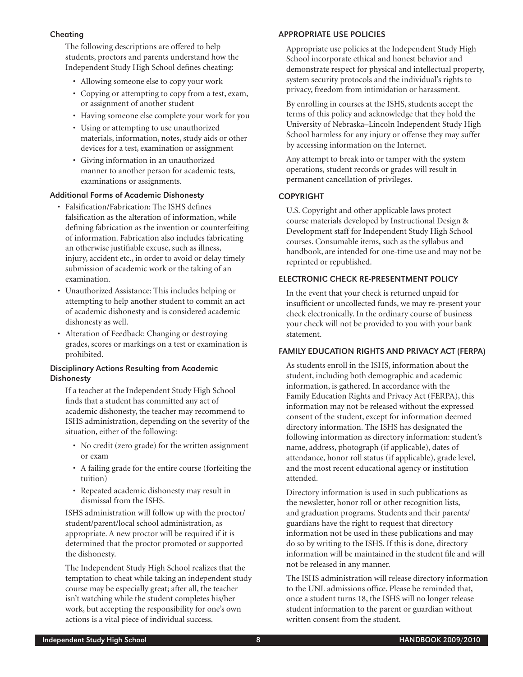## Cheating

The following descriptions are offered to help students, proctors and parents understand how the Independent Study High School defines cheating:

- Allowing someone else to copy your work
- Copying or attempting to copy from a test, exam, or assignment of another student
- Having someone else complete your work for you
- Using or attempting to use unauthorized materials, information, notes, study aids or other devices for a test, examination or assignment
- Giving information in an unauthorized manner to another person for academic tests, examinations or assignments.

# Additional Forms of Academic Dishonesty

- Falsification/Fabrication: The ISHS defines falsification as the alteration of information, while defining fabrication as the invention or counterfeiting of information. Fabrication also includes fabricating an otherwise justifiable excuse, such as illness, injury, accident etc., in order to avoid or delay timely submission of academic work or the taking of an examination.
- Unauthorized Assistance: This includes helping or attempting to help another student to commit an act of academic dishonesty and is considered academic dishonesty as well.
- Alteration of Feedback: Changing or destroying grades, scores or markings on a test or examination is prohibited.

# Disciplinary Actions Resulting from Academic **Dishonesty**

If a teacher at the Independent Study High School finds that a student has committed any act of academic dishonesty, the teacher may recommend to ISHS administration, depending on the severity of the situation, either of the following:

- No credit (zero grade) for the written assignment or exam
- A failing grade for the entire course (forfeiting the tuition)
- Repeated academic dishonesty may result in dismissal from the ISHS.

ISHS administration will follow up with the proctor/ student/parent/local school administration, as appropriate. A new proctor will be required if it is determined that the proctor promoted or supported the dishonesty.

The Independent Study High School realizes that the temptation to cheat while taking an independent study course may be especially great; after all, the teacher isn't watching while the student completes his/her work, but accepting the responsibility for one's own actions is a vital piece of individual success.

# Appropriate Use Policies

Appropriate use policies at the Independent Study High School incorporate ethical and honest behavior and demonstrate respect for physical and intellectual property, system security protocols and the individual's rights to privacy, freedom from intimidation or harassment.

By enrolling in courses at the ISHS, students accept the terms of this policy and acknowledge that they hold the University of Nebraska–Lincoln Independent Study High School harmless for any injury or offense they may suffer by accessing information on the Internet.

Any attempt to break into or tamper with the system operations, student records or grades will result in permanent cancellation of privileges.

# **COPYRIGHT**

U.S. Copyright and other applicable laws protect course materials developed by Instructional Design & Development staff for Independent Study High School courses. Consumable items, such as the syllabus and handbook, are intended for one-time use and may not be reprinted or republished.

# Electronic Check Re-Presentment Policy

In the event that your check is returned unpaid for insufficient or uncollected funds, we may re-present your check electronically. In the ordinary course of business your check will not be provided to you with your bank statement.

# Family Education Rights and Privacy Act (FERPA)

As students enroll in the ISHS, information about the student, including both demographic and academic information, is gathered. In accordance with the Family Education Rights and Privacy Act (FERPA), this information may not be released without the expressed consent of the student, except for information deemed directory information. The ISHS has designated the following information as directory information: student's name, address, photograph (if applicable), dates of attendance, honor roll status (if applicable), grade level, and the most recent educational agency or institution attended.

Directory information is used in such publications as the newsletter, honor roll or other recognition lists, and graduation programs. Students and their parents/ guardians have the right to request that directory information not be used in these publications and may do so by writing to the ISHS. If this is done, directory information will be maintained in the student file and will not be released in any manner.

The ISHS administration will release directory information to the UNL admissions office. Please be reminded that, once a student turns 18, the ISHS will no longer release student information to the parent or guardian without written consent from the student.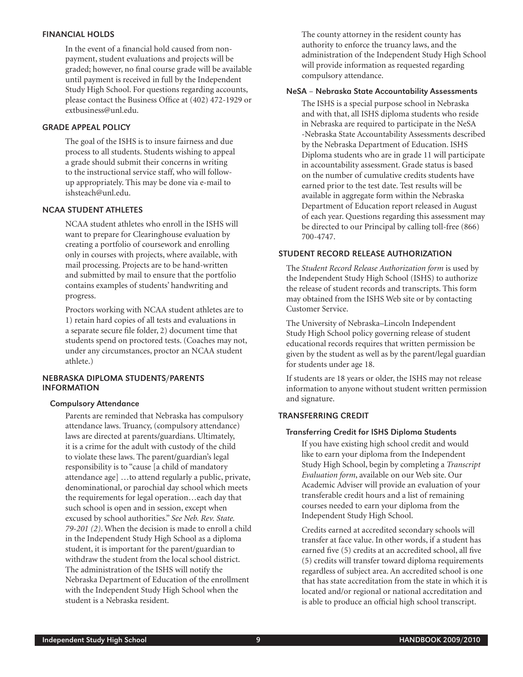## Financial Holds

In the event of a financial hold caused from nonpayment, student evaluations and projects will be graded; however, no final course grade will be available until payment is received in full by the Independent Study High School. For questions regarding accounts, please contact the Business Office at (402) 472-1929 or extbusiness@unl.edu.

# Grade Appeal Policy

The goal of the ISHS is to insure fairness and due process to all students. Students wishing to appeal a grade should submit their concerns in writing to the instructional service staff, who will followup appropriately. This may be done via e-mail to ishsteach@unl.edu.

## NCAA Student Athletes

NCAA student athletes who enroll in the ISHS will want to prepare for Clearinghouse evaluation by creating a portfolio of coursework and enrolling only in courses with projects, where available, with mail processing. Projects are to be hand-written and submitted by mail to ensure that the portfolio contains examples of students' handwriting and progress.

Proctors working with NCAA student athletes are to 1) retain hard copies of all tests and evaluations in a separate secure file folder, 2) document time that students spend on proctored tests. (Coaches may not, under any circumstances, proctor an NCAA student athlete.)

# Nebraska Diploma Students/Parents **INFORMATION**

#### Compulsory Attendance

Parents are reminded that Nebraska has compulsory attendance laws. Truancy, (compulsory attendance) laws are directed at parents/guardians. Ultimately, it is a crime for the adult with custody of the child to violate these laws. The parent/guardian's legal responsibility is to "cause [a child of mandatory attendance age] …to attend regularly a public, private, denominational, or parochial day school which meets the requirements for legal operation…each day that such school is open and in session, except when excused by school authorities." *See Neb. Rev. State. 79-201 (2)*. When the decision is made to enroll a child in the Independent Study High School as a diploma student, it is important for the parent/guardian to withdraw the student from the local school district. The administration of the ISHS will notify the Nebraska Department of Education of the enrollment with the Independent Study High School when the student is a Nebraska resident.

The county attorney in the resident county has authority to enforce the truancy laws, and the administration of the Independent Study High School will provide information as requested regarding compulsory attendance.

# NeSA – Nebraska State Accountability Assessments

The ISHS is a special purpose school in Nebraska and with that, all ISHS diploma students who reside in Nebraska are required to participate in the NeSA -Nebraska State Accountability Assessments described by the Nebraska Department of Education. ISHS Diploma students who are in grade 11 will participate in accountability assessment. Grade status is based on the number of cumulative credits students have earned prior to the test date. Test results will be available in aggregate form within the Nebraska Department of Education report released in August of each year. Questions regarding this assessment may be directed to our Principal by calling toll-free (866) 700-4747.

# Student Record Release Authorization

The *Student Record Release Authorization form* is used by the Independent Study High School (ISHS) to authorize the release of student records and transcripts. This form may obtained from the ISHS Web site or by contacting Customer Service.

The University of Nebraska–Lincoln Independent Study High School policy governing release of student educational records requires that written permission be given by the student as well as by the parent/legal guardian for students under age 18.

If students are 18 years or older, the ISHS may not release information to anyone without student written permission and signature.

## Transferring Credit

#### Transferring Credit for ISHS Diploma Students

If you have existing high school credit and would like to earn your diploma from the Independent Study High School, begin by completing a *Transcript Evaluation form*, available on our Web site. Our Academic Adviser will provide an evaluation of your transferable credit hours and a list of remaining courses needed to earn your diploma from the Independent Study High School.

Credits earned at accredited secondary schools will transfer at face value. In other words, if a student has earned five (5) credits at an accredited school, all five (5) credits will transfer toward diploma requirements regardless of subject area. An accredited school is one that has state accreditation from the state in which it is located and/or regional or national accreditation and is able to produce an official high school transcript.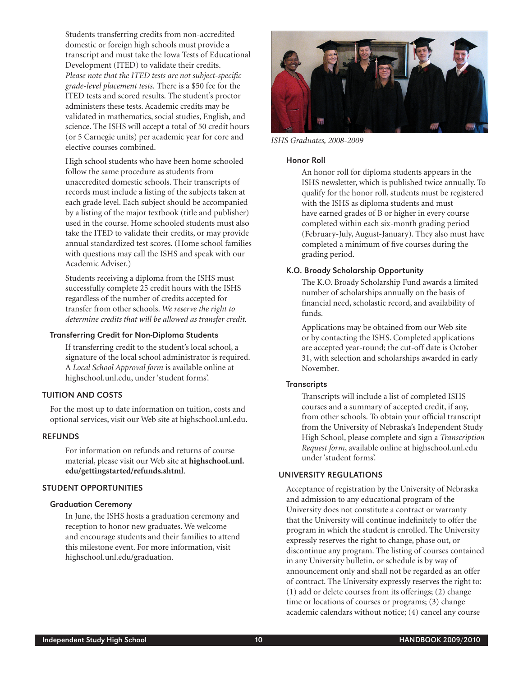Students transferring credits from non-accredited domestic or foreign high schools must provide a transcript and must take the Iowa Tests of Educational Development (ITED) to validate their credits. *Please note that the ITED tests are not subject-specific grade-level placement tests.* There is a \$50 fee for the ITED tests and scored results. The student's proctor administers these tests. Academic credits may be validated in mathematics, social studies, English, and science. The ISHS will accept a total of 50 credit hours (or 5 Carnegie units) per academic year for core and elective courses combined.

High school students who have been home schooled follow the same procedure as students from unaccredited domestic schools. Their transcripts of records must include a listing of the subjects taken at each grade level. Each subject should be accompanied by a listing of the major textbook (title and publisher) used in the course. Home schooled students must also take the ITED to validate their credits, or may provide annual standardized test scores. (Home school families with questions may call the ISHS and speak with our Academic Adviser.)

Students receiving a diploma from the ISHS must successfully complete 25 credit hours with the ISHS regardless of the number of credits accepted for transfer from other schools. *We reserve the right to determine credits that will be allowed as transfer credit.*

#### Transferring Credit for Non-Diploma Students

If transferring credit to the student's local school, a signature of the local school administrator is required. A *Local School Approval form* is available online at highschool.unl.edu, under 'student forms'.

# Tuition and Costs

For the most up to date information on tuition, costs and optional services, visit our Web site at highschool.unl.edu.

## **REFUNDS**

For information on refunds and returns of course material, please visit our Web site at **highschool.unl. edu/gettingstarted/refunds.shtml**.

## Student Opportunities

#### Graduation Ceremony

In June, the ISHS hosts a graduation ceremony and reception to honor new graduates. We welcome and encourage students and their families to attend this milestone event. For more information, visit highschool.unl.edu/graduation.



*ISHS Graduates, 2008-2009*

#### Honor Roll

An honor roll for diploma students appears in the ISHS newsletter, which is published twice annually. To qualify for the honor roll, students must be registered with the ISHS as diploma students and must have earned grades of B or higher in every course completed within each six-month grading period (February-July, August-January). They also must have completed a minimum of five courses during the grading period.

## K.O. Broady Scholarship Opportunity

The K.O. Broady Scholarship Fund awards a limited number of scholarships annually on the basis of financial need, scholastic record, and availability of funds.

Applications may be obtained from our Web site or by contacting the ISHS. Completed applications are accepted year-round; the cut-off date is October 31, with selection and scholarships awarded in early November.

#### **Transcripts**

Transcripts will include a list of completed ISHS courses and a summary of accepted credit, if any, from other schools. To obtain your official transcript from the University of Nebraska's Independent Study High School, please complete and sign a *Transcription Request form*, available online at highschool.unl.edu under 'student forms'.

## University Regulations

Acceptance of registration by the University of Nebraska and admission to any educational program of the University does not constitute a contract or warranty that the University will continue indefinitely to offer the program in which the student is enrolled. The University expressly reserves the right to change, phase out, or discontinue any program. The listing of courses contained in any University bulletin, or schedule is by way of announcement only and shall not be regarded as an offer of contract. The University expressly reserves the right to: (1) add or delete courses from its offerings; (2) change time or locations of courses or programs; (3) change academic calendars without notice; (4) cancel any course